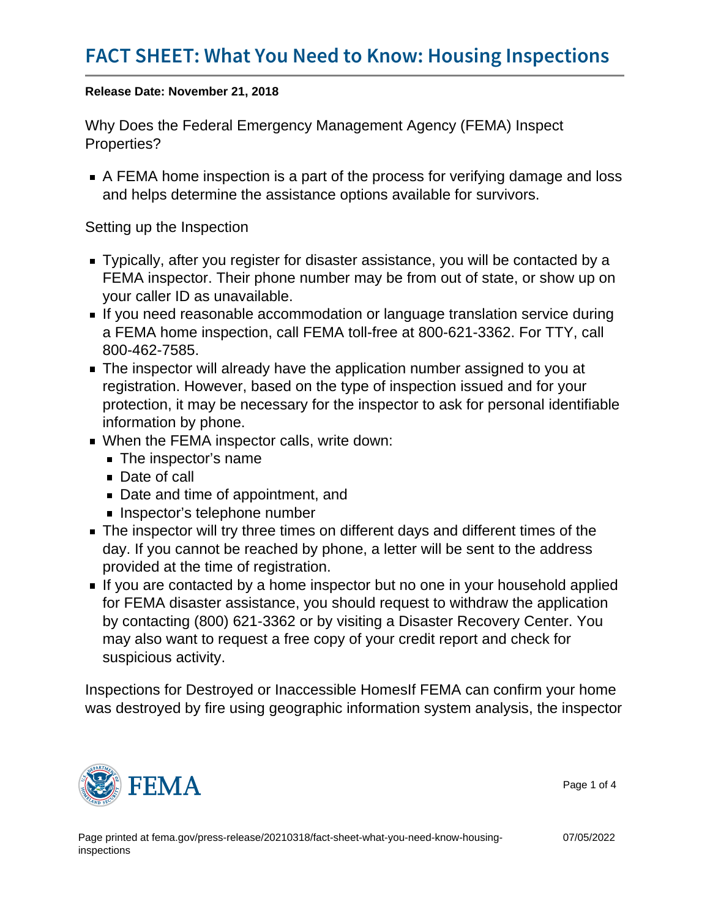Release Date: November 21, 2018

Why Does the Federal Emergency Management Agency (FEMA) Inspect Properties?

A FEMA home inspection is a part of the process for verifying damage and loss and helps determine the assistance options available for survivors.

Setting up the Inspection

- Typically, after you register for disaster assistance, you will be contacted by a FEMA inspector. Their phone number may be from out of state, or show up on your caller ID as unavailable.
- If you need reasonable accommodation or language translation service during a FEMA home inspection, call FEMA toll-free at 800-621-3362. For TTY, call 800-462-7585.
- The inspector will already have the application number assigned to you at registration. However, based on the type of inspection issued and for your protection, it may be necessary for the inspector to ask for personal identifiable information by phone.
- When the FEMA inspector calls, write down:
	- **The inspector's name**
	- Date of call
	- Date and time of appointment, and
	- **Inspector's telephone number**
- The inspector will try three times on different days and different times of the day. If you cannot be reached by phone, a letter will be sent to the address provided at the time of registration.
- If you are contacted by a home inspector but no one in your household applied for FEMA disaster assistance, you should request to withdraw the application by contacting (800) 621-3362 or by visiting a Disaster Recovery Center. You may also want to request a free copy of your credit report and check for suspicious activity.

Inspections for Destroyed or Inaccessible HomesIf FEMA can confirm your home was destroyed by fire using geographic information system analysis, the inspector



Page 1 of 4

07/05/2022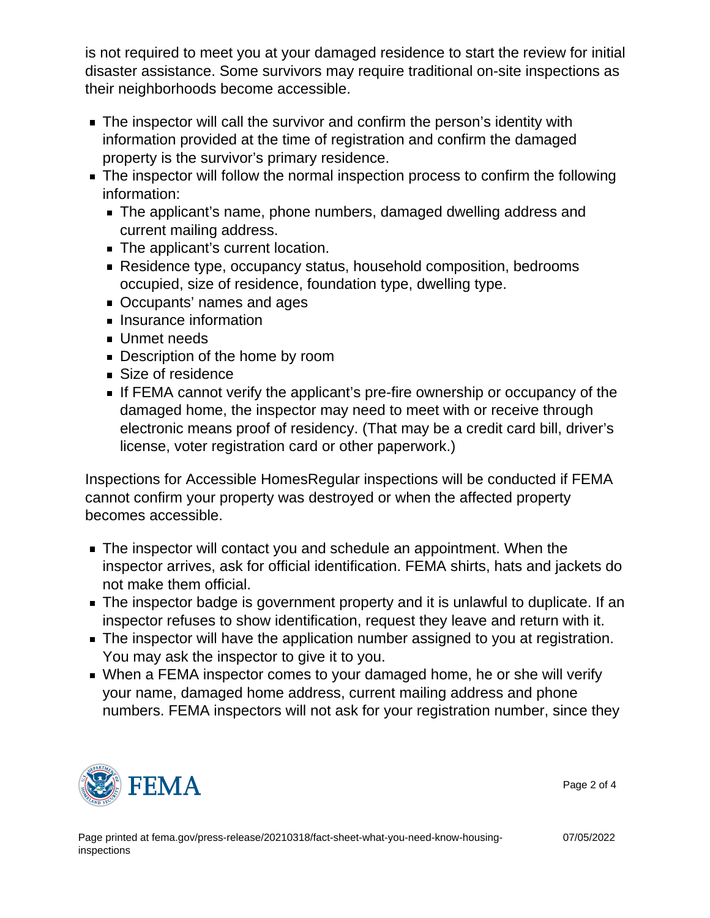is not required to meet you at your damaged residence to start the review for initial disaster assistance. Some survivors may require traditional on-site inspections as their neighborhoods become accessible.

- **The inspector will call the survivor and confirm the person's identity with** information provided at the time of registration and confirm the damaged property is the survivor's primary residence.
- The inspector will follow the normal inspection process to confirm the following information:
	- The applicant's name, phone numbers, damaged dwelling address and current mailing address.
	- The applicant's current location.
	- Residence type, occupancy status, household composition, bedrooms occupied, size of residence, foundation type, dwelling type.
	- Occupants' names and ages
	- **Insurance information**
	- **Unmet needs**
	- Description of the home by room
	- Size of residence
	- If FEMA cannot verify the applicant's pre-fire ownership or occupancy of the damaged home, the inspector may need to meet with or receive through electronic means proof of residency. (That may be a credit card bill, driver's license, voter registration card or other paperwork.)

Inspections for Accessible HomesRegular inspections will be conducted if FEMA cannot confirm your property was destroyed or when the affected property becomes accessible.

- The inspector will contact you and schedule an appointment. When the inspector arrives, ask for official identification. FEMA shirts, hats and jackets do not make them official.
- The inspector badge is government property and it is unlawful to duplicate. If an inspector refuses to show identification, request they leave and return with it.
- The inspector will have the application number assigned to you at registration. You may ask the inspector to give it to you.
- When a FEMA inspector comes to your damaged home, he or she will verify your name, damaged home address, current mailing address and phone numbers. FEMA inspectors will not ask for your registration number, since they



Page 2 of 4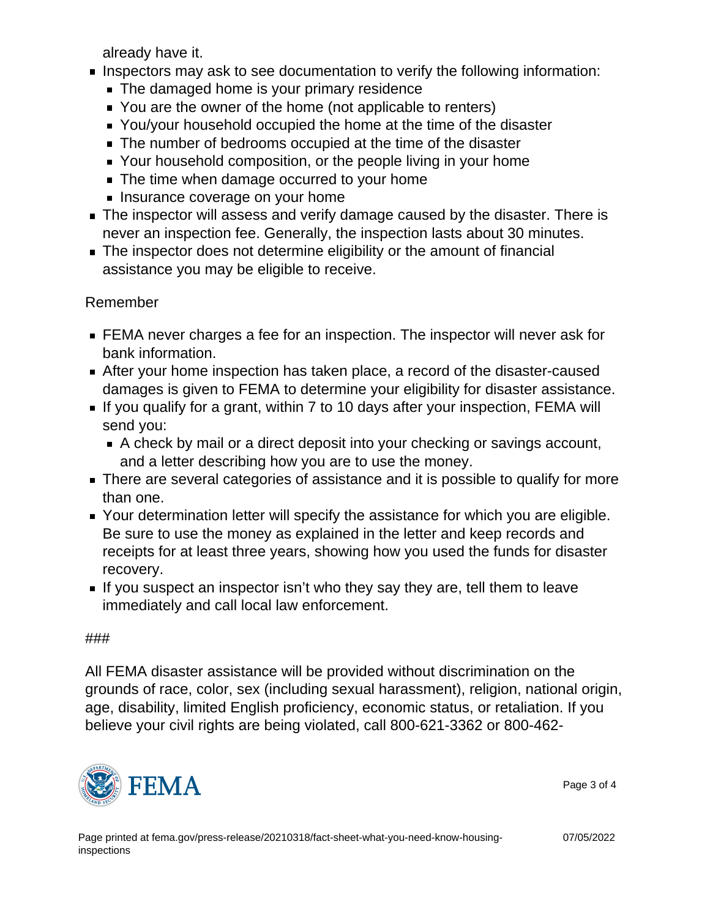already have it.

- Inspectors may ask to see documentation to verify the following information:
	- **The damaged home is your primary residence**
	- You are the owner of the home (not applicable to renters)
	- You/your household occupied the home at the time of the disaster
	- The number of bedrooms occupied at the time of the disaster
	- Your household composition, or the people living in your home
	- The time when damage occurred to your home
	- **Insurance coverage on your home**
- The inspector will assess and verify damage caused by the disaster. There is never an inspection fee. Generally, the inspection lasts about 30 minutes.
- The inspector does not determine eligibility or the amount of financial assistance you may be eligible to receive.

## Remember

- FEMA never charges a fee for an inspection. The inspector will never ask for bank information.
- After your home inspection has taken place, a record of the disaster-caused damages is given to FEMA to determine your eligibility for disaster assistance.
- If you qualify for a grant, within 7 to 10 days after your inspection, FEMA will send you:
	- A check by mail or a direct deposit into your checking or savings account, and a letter describing how you are to use the money.
- There are several categories of assistance and it is possible to qualify for more than one.
- Your determination letter will specify the assistance for which you are eligible. Be sure to use the money as explained in the letter and keep records and receipts for at least three years, showing how you used the funds for disaster recovery.
- If you suspect an inspector isn't who they say they are, tell them to leave immediately and call local law enforcement.

## ###

All FEMA disaster assistance will be provided without discrimination on the grounds of race, color, sex (including sexual harassment), religion, national origin, age, disability, limited English proficiency, economic status, or retaliation. If you believe your civil rights are being violated, call 800-621-3362 or 800-462-



07/05/2022